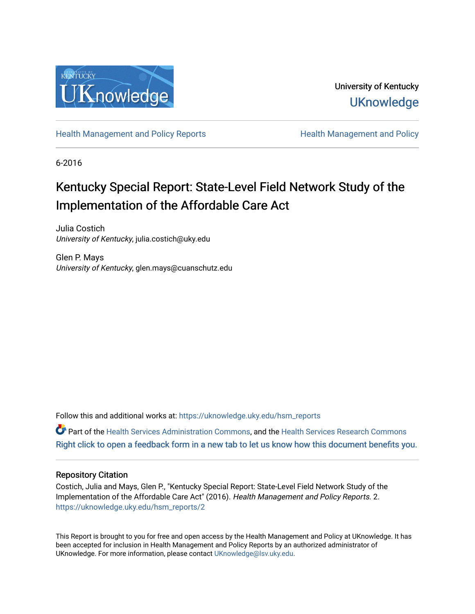

University of Kentucky **UKnowledge** 

[Health Management and Policy Reports](https://uknowledge.uky.edu/hsm_reports) **Health Management and Policy Health Management and Policy** 

6-2016

## Kentucky Special Report: State-Level Field Network Study of the Implementation of the Affordable Care Act

Julia Costich University of Kentucky, julia.costich@uky.edu

Glen P. Mays University of Kentucky, glen.mays@cuanschutz.edu

Follow this and additional works at: [https://uknowledge.uky.edu/hsm\\_reports](https://uknowledge.uky.edu/hsm_reports?utm_source=uknowledge.uky.edu%2Fhsm_reports%2F2&utm_medium=PDF&utm_campaign=PDFCoverPages)

Part of the [Health Services Administration Commons,](http://network.bepress.com/hgg/discipline/747?utm_source=uknowledge.uky.edu%2Fhsm_reports%2F2&utm_medium=PDF&utm_campaign=PDFCoverPages) and the [Health Services Research Commons](http://network.bepress.com/hgg/discipline/816?utm_source=uknowledge.uky.edu%2Fhsm_reports%2F2&utm_medium=PDF&utm_campaign=PDFCoverPages) [Right click to open a feedback form in a new tab to let us know how this document benefits you.](https://uky.az1.qualtrics.com/jfe/form/SV_9mq8fx2GnONRfz7)

#### Repository Citation

Costich, Julia and Mays, Glen P., "Kentucky Special Report: State-Level Field Network Study of the Implementation of the Affordable Care Act" (2016). Health Management and Policy Reports. 2. [https://uknowledge.uky.edu/hsm\\_reports/2](https://uknowledge.uky.edu/hsm_reports/2?utm_source=uknowledge.uky.edu%2Fhsm_reports%2F2&utm_medium=PDF&utm_campaign=PDFCoverPages)

This Report is brought to you for free and open access by the Health Management and Policy at UKnowledge. It has been accepted for inclusion in Health Management and Policy Reports by an authorized administrator of UKnowledge. For more information, please contact [UKnowledge@lsv.uky.edu](mailto:UKnowledge@lsv.uky.edu).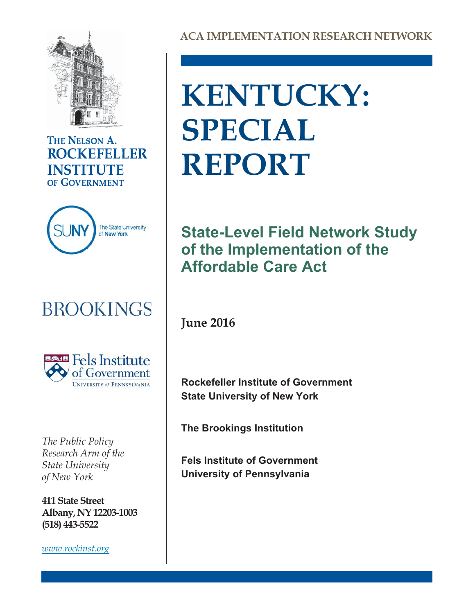

### THE NELSON A. **ROCKEFELLER INSTITUTE** OF GOVERNMENT



## **BROOKINGS**



*The Public Policy Research Arm of the State University of New York*

**411 State Street Albany, NY 12203-1003 (518) 443-5522**

*[www.rockinst.org](http://www.rockinst.org)*

**ACA IMPLEMENTATION RESEARCH NETWORK**

# **KENTUCKY: SPECIAL REPORT**

## **State-Level Field Network Study of the Implementation of the Affordable Care Act**

**June 2016**

**Rockefeller Institute of Government State University of New York**

**The Brookings Institution**

**Fels Institute of Government University of Pennsylvania**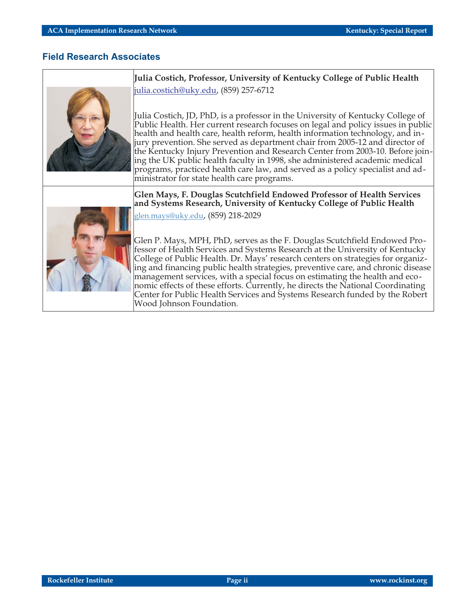#### **Field Research Associates**



**Julia Costich, Professor, University of Kentucky College of Public Health** julia.costich@uky.edu, (859) 257-6712

Julia Costich, JD, PhD, is a professor in the University of Kentucky College of Public Health. Her current research focuses on legal and policy issues in public health and health care, health reform, health information technology, and injury prevention. She served as department chair from 2005-12 and director of the Kentucky Injury Prevention and Research Center from 2003-10. Before joining the UK public health faculty in 1998, she administered academic medical programs, practiced health care law, and served as a policy specialist and administrator for state health care programs.

**Glen Mays, F. Douglas Scutchfield Endowed Professor of Health Services and Systems Research, University of Kentucky College of Public Health**



[glen.mays@uky.edu,](mailto:glen.mays@uky.edu) (859) 218-2029

Glen P. Mays, MPH, PhD, serves as the F. Douglas Scutchfield Endowed Professor of Health Services and Systems Research at the University of Kentucky College of Public Health. Dr. Mays' research centers on strategies for organizing and financing public health strategies, preventive care, and chronic disease management services, with a special focus on estimating the health and economic effects of these efforts. Currently, he directs the National Coordinating Center for Public Health Services and Systems Research funded by the Robert Wood Johnson Foundation.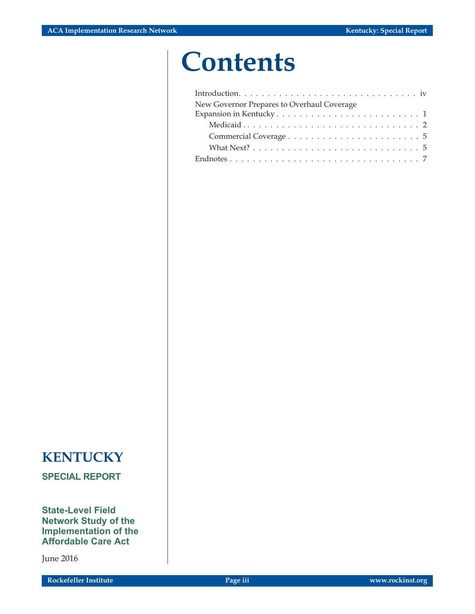## **Contents**

| New Governor Prepares to Overhaul Coverage                                         |
|------------------------------------------------------------------------------------|
|                                                                                    |
|                                                                                    |
|                                                                                    |
| What Next? $\ldots \ldots \ldots \ldots \ldots \ldots \ldots \ldots \ldots \ldots$ |
|                                                                                    |

## **KENTUCKY**

**SPECIAL REPORT**

**State-Level Field Network Study of the Implementation of the Affordable Care Act**

June 2016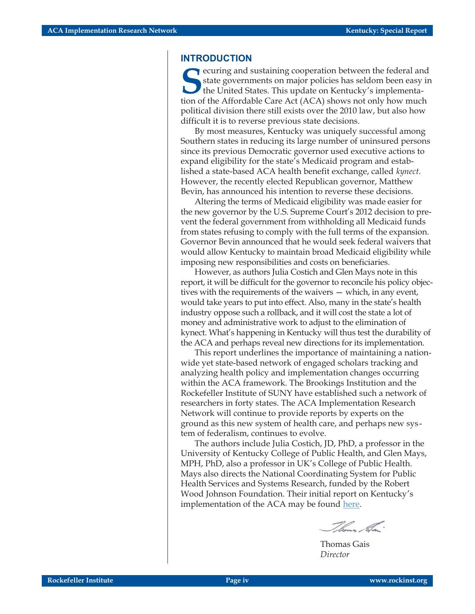#### **INTRODUCTION**

**S** ecuring and sustaining cooperation between the federal and state governments on major policies has seldom been easy in the United States. This update on Kentucky's implementation of the Affordable Care Act (ACA) shows not only how much political division there still exists over the 2010 law, but also how difficult it is to reverse previous state decisions.

By most measures, Kentucky was uniquely successful among Southern states in reducing its large number of uninsured persons since its previous Democratic governor used executive actions to expand eligibility for the state's Medicaid program and established a state-based ACA health benefit exchange, called *kynect*. However, the recently elected Republican governor, Matthew Bevin, has announced his intention to reverse these decisions.

Altering the terms of Medicaid eligibility was made easier for the new governor by the U.S. Supreme Court's 2012 decision to prevent the federal government from withholding all Medicaid funds from states refusing to comply with the full terms of the expansion. Governor Bevin announced that he would seek federal waivers that would allow Kentucky to maintain broad Medicaid eligibility while imposing new responsibilities and costs on beneficiaries.

However, as authors Julia Costich and Glen Mays note in this report, it will be difficult for the governor to reconcile his policy objectives with the requirements of the waivers — which, in any event, would take years to put into effect. Also, many in the state's health industry oppose such a rollback, and it will cost the state a lot of money and administrative work to adjust to the elimination of kynect. What's happening in Kentucky will thus test the durability of the ACA and perhaps reveal new directions for its implementation.

This report underlines the importance of maintaining a nationwide yet state-based network of engaged scholars tracking and analyzing health policy and implementation changes occurring within the ACA framework. The Brookings Institution and the Rockefeller Institute of SUNY have established such a network of researchers in forty states. The ACA Implementation Research Network will continue to provide reports by experts on the ground as this new system of health care, and perhaps new system of federalism, continues to evolve.

The authors include Julia Costich, JD, PhD, a professor in the University of Kentucky College of Public Health, and Glen Mays, MPH, PhD, also a professor in UK's College of Public Health. Mays also directs the National Coordinating System for Public Health Services and Systems Research, funded by the Robert Wood Johnson Foundation. Their initial report on Kentucky's implementation of the ACA may be found [here.](http://johnfaso.com/donate)

Thomas La:

Thomas Gais *Director*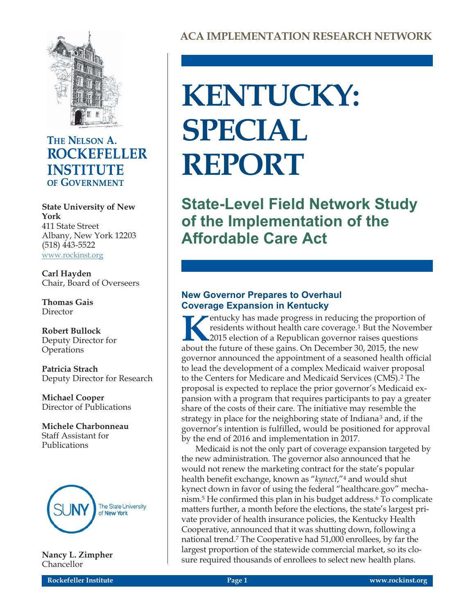

### THE NELSON A. **ROCKEFELLER INSTITUTE** OF GOVERNMENT

**State University of New York** 411 State Street Albany, New York 12203 (518) 443-5522 [www.rockinst.org](http://www.rockinst.org)

**Carl Hayden** Chair, Board of Overseers

**Thomas Gais** Director

**Robert Bullock** Deputy Director for **Operations** 

**Patricia Strach** Deputy Director for Research

**Michael Cooper** Director of Publications

**Michele Charbonneau** Staff Assistant for Publications



**Nancy L. Zimpher** Chancellor

# **KENTUCKY: SPECIAL REPORT**

**State-Level Field Network Study of the Implementation of the Affordable Care Act**

#### **New Governor Prepares to Overhaul Coverage Expansion in Kentucky**

**Kentucky has made progress in reducing the proportion of residents without health care coverage.<sup>1</sup> But the Novemb 2015 election of a Republican governor raises questions about the future of these gains. On December 30, 2** residents without health care coverage.1 But the November 2015 election of a Republican governor raises questions about the future of these gains. On December 30, 2015, the new governor announced the appointment of a seasoned health official to lead the development of a complex Medicaid waiver proposal to the Centers for Medicare and Medicaid Services (CMS).<sup>2</sup> The proposal is expected to replace the prior governor's Medicaid expansion with a program that requires participants to pay a greater share of the costs of their care. The initiative may resemble the strategy in place for the neighboring state of Indiana<sup>3</sup> and, if the governor's intention is fulfilled, would be positioned for approval by the end of 2016 and implementation in 2017.

Medicaid is not the only part of coverage expansion targeted by the new administration. The governor also announced that he would not renew the marketing contract for the state's popular health benefit exchange, known as "*kynect*,"4 and would shut kynect down in favor of using the federal "healthcare.gov" mechanism.5 He confirmed this plan in his budget address.6 To complicate matters further, a month before the elections, the state's largest private provider of health insurance policies, the Kentucky Health Cooperative, announced that it was shutting down, following a national trend.7 The Cooperative had 51,000 enrollees, by far the largest proportion of the statewide commercial market, so its closure required thousands of enrollees to select new health plans.

**Rockefeller Institute Page 1 www.rockinst.org**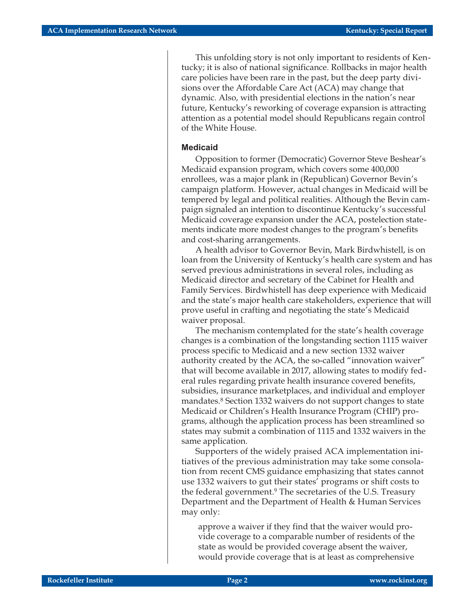This unfolding story is not only important to residents of Kentucky; it is also of national significance. Rollbacks in major health care policies have been rare in the past, but the deep party divisions over the Affordable Care Act (ACA) may change that dynamic. Also, with presidential elections in the nation's near future, Kentucky's reworking of coverage expansion is attracting attention as a potential model should Republicans regain control of the White House.

#### **Medicaid**

Opposition to former (Democratic) Governor Steve Beshear's Medicaid expansion program, which covers some 400,000 enrollees, was a major plank in (Republican) Governor Bevin's campaign platform. However, actual changes in Medicaid will be tempered by legal and political realities. Although the Bevin campaign signaled an intention to discontinue Kentucky's successful Medicaid coverage expansion under the ACA, postelection statements indicate more modest changes to the program's benefits and cost-sharing arrangements.

A health advisor to Governor Bevin, Mark Birdwhistell, is on loan from the University of Kentucky's health care system and has served previous administrations in several roles, including as Medicaid director and secretary of the Cabinet for Health and Family Services. Birdwhistell has deep experience with Medicaid and the state's major health care stakeholders, experience that will prove useful in crafting and negotiating the state's Medicaid waiver proposal.

The mechanism contemplated for the state's health coverage changes is a combination of the longstanding section 1115 waiver process specific to Medicaid and a new section 1332 waiver authority created by the ACA, the so-called "innovation waiver" that will become available in 2017, allowing states to modify federal rules regarding private health insurance covered benefits, subsidies, insurance marketplaces, and individual and employer mandates.8 Section 1332 waivers do not support changes to state Medicaid or Children's Health Insurance Program (CHIP) programs, although the application process has been streamlined so states may submit a combination of 1115 and 1332 waivers in the same application.

Supporters of the widely praised ACA implementation initiatives of the previous administration may take some consolation from recent CMS guidance emphasizing that states cannot use 1332 waivers to gut their states' programs or shift costs to the federal government.9 The secretaries of the U.S. Treasury Department and the Department of Health & Human Services may only:

approve a waiver if they find that the waiver would provide coverage to a comparable number of residents of the state as would be provided coverage absent the waiver, would provide coverage that is at least as comprehensive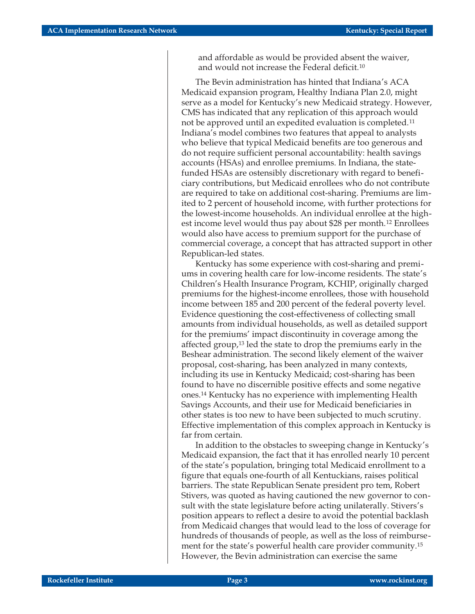and affordable as would be provided absent the waiver, and would not increase the Federal deficit.10

The Bevin administration has hinted that Indiana's ACA Medicaid expansion program, Healthy Indiana Plan 2.0, might serve as a model for Kentucky's new Medicaid strategy. However, CMS has indicated that any replication of this approach would not be approved until an expedited evaluation is completed.11 Indiana's model combines two features that appeal to analysts who believe that typical Medicaid benefits are too generous and do not require sufficient personal accountability: health savings accounts (HSAs) and enrollee premiums. In Indiana, the statefunded HSAs are ostensibly discretionary with regard to beneficiary contributions, but Medicaid enrollees who do not contribute are required to take on additional cost-sharing. Premiums are limited to 2 percent of household income, with further protections for the lowest-income households. An individual enrollee at the highest income level would thus pay about \$28 per month.12 Enrollees would also have access to premium support for the purchase of commercial coverage, a concept that has attracted support in other Republican-led states.

Kentucky has some experience with cost-sharing and premiums in covering health care for low-income residents. The state's Children's Health Insurance Program, KCHIP, originally charged premiums for the highest-income enrollees, those with household income between 185 and 200 percent of the federal poverty level. Evidence questioning the cost-effectiveness of collecting small amounts from individual households, as well as detailed support for the premiums' impact discontinuity in coverage among the affected group,13 led the state to drop the premiums early in the Beshear administration. The second likely element of the waiver proposal, cost-sharing, has been analyzed in many contexts, including its use in Kentucky Medicaid; cost-sharing has been found to have no discernible positive effects and some negative ones.14 Kentucky has no experience with implementing Health Savings Accounts, and their use for Medicaid beneficiaries in other states is too new to have been subjected to much scrutiny. Effective implementation of this complex approach in Kentucky is far from certain.

In addition to the obstacles to sweeping change in Kentucky's Medicaid expansion, the fact that it has enrolled nearly 10 percent of the state's population, bringing total Medicaid enrollment to a figure that equals one-fourth of all Kentuckians, raises political barriers. The state Republican Senate president pro tem, Robert Stivers, was quoted as having cautioned the new governor to consult with the state legislature before acting unilaterally. Stivers's position appears to reflect a desire to avoid the potential backlash from Medicaid changes that would lead to the loss of coverage for hundreds of thousands of people, as well as the loss of reimbursement for the state's powerful health care provider community.15 However, the Bevin administration can exercise the same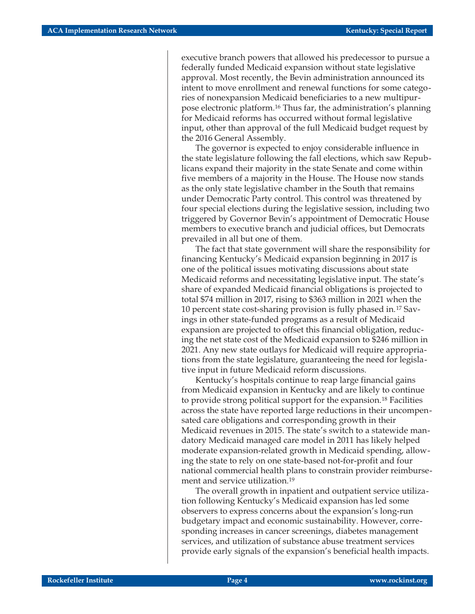executive branch powers that allowed his predecessor to pursue a federally funded Medicaid expansion without state legislative approval. Most recently, the Bevin administration announced its intent to move enrollment and renewal functions for some categories of nonexpansion Medicaid beneficiaries to a new multipurpose electronic platform.16 Thus far, the administration's planning for Medicaid reforms has occurred without formal legislative input, other than approval of the full Medicaid budget request by the 2016 General Assembly.

The governor is expected to enjoy considerable influence in the state legislature following the fall elections, which saw Republicans expand their majority in the state Senate and come within five members of a majority in the House. The House now stands as the only state legislative chamber in the South that remains under Democratic Party control. This control was threatened by four special elections during the legislative session, including two triggered by Governor Bevin's appointment of Democratic House members to executive branch and judicial offices, but Democrats prevailed in all but one of them.

The fact that state government will share the responsibility for financing Kentucky's Medicaid expansion beginning in 2017 is one of the political issues motivating discussions about state Medicaid reforms and necessitating legislative input. The state's share of expanded Medicaid financial obligations is projected to total \$74 million in 2017, rising to \$363 million in 2021 when the 10 percent state cost-sharing provision is fully phased in.17 Savings in other state-funded programs as a result of Medicaid expansion are projected to offset this financial obligation, reducing the net state cost of the Medicaid expansion to \$246 million in 2021. Any new state outlays for Medicaid will require appropriations from the state legislature, guaranteeing the need for legislative input in future Medicaid reform discussions.

Kentucky's hospitals continue to reap large financial gains from Medicaid expansion in Kentucky and are likely to continue to provide strong political support for the expansion.18 Facilities across the state have reported large reductions in their uncompensated care obligations and corresponding growth in their Medicaid revenues in 2015. The state's switch to a statewide mandatory Medicaid managed care model in 2011 has likely helped moderate expansion-related growth in Medicaid spending, allowing the state to rely on one state-based not-for-profit and four national commercial health plans to constrain provider reimbursement and service utilization.19

The overall growth in inpatient and outpatient service utilization following Kentucky's Medicaid expansion has led some observers to express concerns about the expansion's long-run budgetary impact and economic sustainability. However, corresponding increases in cancer screenings, diabetes management services, and utilization of substance abuse treatment services provide early signals of the expansion's beneficial health impacts.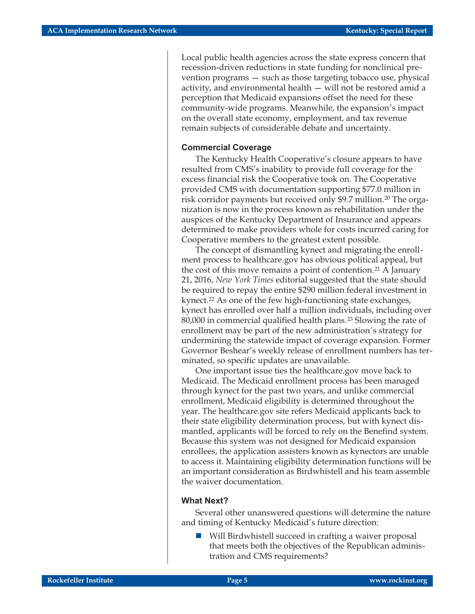Local public health agencies across the state express concern that recession-driven reductions in state funding for nonclinical prevention programs — such as those targeting tobacco use, physical activity, and environmental health — will not be restored amid a perception that Medicaid expansions offset the need for these community-wide programs. Meanwhile, the expansion's impact on the overall state economy, employment, and tax revenue remain subjects of considerable debate and uncertainty.

#### **Commercial Coverage**

The Kentucky Health Cooperative's closure appears to have resulted from CMS's inability to provide full coverage for the excess financial risk the Cooperative took on. The Cooperative provided CMS with documentation supporting \$77.0 million in risk corridor payments but received only \$9.7 million.20 The organization is now in the process known as rehabilitation under the auspices of the Kentucky Department of Insurance and appears determined to make providers whole for costs incurred caring for Cooperative members to the greatest extent possible.

The concept of dismantling kynect and migrating the enrollment process to healthcare.gov has obvious political appeal, but the cost of this move remains a point of contention.<sup>21</sup> A January 21, 2016, *New York Times* editorial suggested that the state should be required to repay the entire \$290 million federal investment in kynect.22 As one of the few high-functioning state exchanges, kynect has enrolled over half a million individuals, including over 80,000 in commercial qualified health plans.23 Slowing the rate of enrollment may be part of the new administration's strategy for undermining the statewide impact of coverage expansion. Former Governor Beshear's weekly release of enrollment numbers has terminated, so specific updates are unavailable.

One important issue ties the healthcare.gov move back to Medicaid. The Medicaid enrollment process has been managed through kynect for the past two years, and unlike commercial enrollment, Medicaid eligibility is determined throughout the year. The healthcare.gov site refers Medicaid applicants back to their state eligibility determination process, but with kynect dismantled, applicants will be forced to rely on the Benefind system. Because this system was not designed for Medicaid expansion enrollees, the application assisters known as kynectors are unable to access it. Maintaining eligibility determination functions will be an important consideration as Birdwhistell and his team assemble the waiver documentation.

#### **What Next?**

Several other unanswered questions will determine the nature and timing of Kentucky Medicaid's future direction:

- Will Birdwhistell succeed in crafting a waiver proposal that meets both the objectives of the Republican administration and CMS requirements?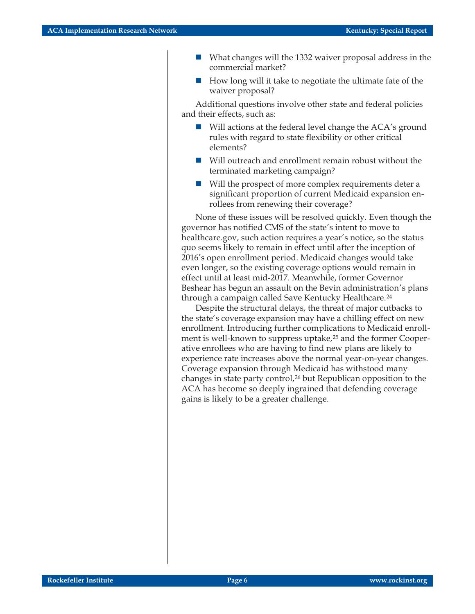- - What changes will the 1332 waiver proposal address in the commercial market?
- - How long will it take to negotiate the ultimate fate of the waiver proposal?

Additional questions involve other state and federal policies and their effects, such as:

- Will actions at the federal level change the ACA's ground rules with regard to state flexibility or other critical elements?
- $\blacksquare$  Will outreach and enrollment remain robust without the terminated marketing campaign?
- $\blacksquare$  Will the prospect of more complex requirements deter a significant proportion of current Medicaid expansion enrollees from renewing their coverage?

None of these issues will be resolved quickly. Even though the governor has notified CMS of the state's intent to move to healthcare.gov, such action requires a year's notice, so the status quo seems likely to remain in effect until after the inception of 2016's open enrollment period. Medicaid changes would take even longer, so the existing coverage options would remain in effect until at least mid-2017. Meanwhile, former Governor Beshear has begun an assault on the Bevin administration's plans through a campaign called Save Kentucky Healthcare.24

Despite the structural delays, the threat of major cutbacks to the state's coverage expansion may have a chilling effect on new enrollment. Introducing further complications to Medicaid enrollment is well-known to suppress uptake,<sup>25</sup> and the former Cooperative enrollees who are having to find new plans are likely to experience rate increases above the normal year-on-year changes. Coverage expansion through Medicaid has withstood many changes in state party control,<sup>26</sup> but Republican opposition to the ACA has become so deeply ingrained that defending coverage gains is likely to be a greater challenge.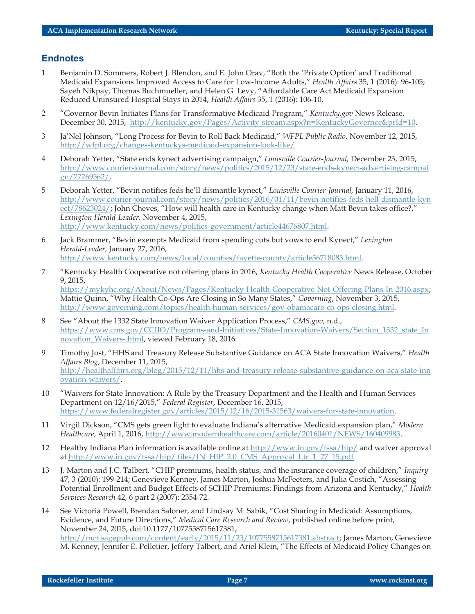#### **Endnotes**

- 1 Benjamin D. Sommers, Robert J. Blendon, and E. John Orav, "Both the 'Private Option' and Traditional Medicaid Expansions Improved Access to Care for Low-Income Adults," *Health Affairs* 35, 1 (2016): 96-105; Sayeh Nikpay, Thomas Buchmueller, and Helen G. Levy, "Affordable Care Act Medicaid Expansion Reduced Uninsured Hospital Stays in 2014, *Health Affairs* 35, 1 (2016): 106-10.
- 2 "Governor Bevin Initiates Plans for Transformative Medicaid Program," *Kentucky.gov* News Release, December 30, 2015, [http://kentucky.gov/Pages/Activity-stream.aspx?n=KentuckyGovernor&prId=10.](http://kentucky.gov/Pages/Activity-stream.aspx?n=KentuckyGovernor&prId=10)
- 3 Ja'Nel Johnson, "Long Process for Bevin to Roll Back Medicaid," *WFPL Public Radio*, November 12, 2015, <http://wfpl.org/changes-kentuckys-medicaid-expansion-look-like/>.
- 4 Deborah Yetter, "State ends kynect advertising campaign," *Louisville Courier-Journal,* December 23, 2015, [http://www.courier-journal.com/story/news/politics/2015/12/23/state-ends-kynect-advertising-campai](http://www.courier-journal.com/story/news/politics/2015/12/23/state-ends-kynect-advertising-campaign/77769562/) [gn/77769562/](http://www.courier-journal.com/story/news/politics/2015/12/23/state-ends-kynect-advertising-campaign/77769562/).
- 5 Deborah Yetter, "Bevin notifies feds he'll dismantle kynect," *Louisville Courier-Journal,* January 11, 2016, [http://www.courier-journal.com/story/news/politics/2016/01/11/bevin-notifies-feds-hell-dismantle-kyn](http://www.courier-journal.com/story/news/politics/2016/01/11/bevin-notifies-feds-hell-dismantle-kynect/78623024/) [ect/78623024/](http://www.courier-journal.com/story/news/politics/2016/01/11/bevin-notifies-feds-hell-dismantle-kynect/78623024/); John Cheves, "How will health care in Kentucky change when Matt Bevin takes office?," *Lexington Herald-Leader,* November 4, 2015, [http://www.kentucky.com/news/politics-government/article44676807.html.](http://www.kentucky.com/news/politics-government/article44676807.html)
- 6 Jack Brammer, "Bevin exempts Medicaid from spending cuts but vows to end Kynect," *Lexington Herald-Leader*, January 27, 2016, <http://www.kentucky.com/news/local/counties/fayette-county/article56718083.html>.
- 7 "Kentucky Health Cooperative not offering plans in 2016, *Kentucky Health Cooperative* News Release, October 9, 2015, <https://mykyhc.org/About/News/Pages/Kentucky-Health-Cooperative-Not-Offering-Plans-In-2016.aspx>; Mattie Quinn, "Why Health Co-Ops Are Closing in So Many States," *Governing*, November 3, 2015, <http://www.governing.com/topics/health-human-services/gov-obamacare-co-ops-closing.html>.
- 8 See "About the 1332 State Innovation Waiver Application Process," *CMS.gov,* n.d., [https://www.cms.gov/CCIIO/Programs-and-Initiatives/State-Innovation-Waivers/Section\\_1332\\_state\\_In](https://www.cms.gov/CCIIO/Programs-and-Initiatives/State-Innovation-Waivers/Section_1332_state_Innovation_Waivers-.html) [novation\\_Waivers-.html](https://www.cms.gov/CCIIO/Programs-and-Initiatives/State-Innovation-Waivers/Section_1332_state_Innovation_Waivers-.html), viewed February 18, 2016.
- 9 Timothy Jost, "HHS and Treasury Release Substantive Guidance on ACA State Innovation Waivers," *Health Affairs Blog*, December 11, 2015, [http://healthaffairs.org/blog/2015/12/11/hhs-and-treasury-release-substantive-guidance-on-aca-state-inn](http://healthaffairs.org/blog/2015/12/11/hhs-and-treasury-release-substantive-guidance-on-aca-state-innovation-waivers/) [ovation-waivers/](http://healthaffairs.org/blog/2015/12/11/hhs-and-treasury-release-substantive-guidance-on-aca-state-innovation-waivers/).
- 10 "Waivers for State Innovation: A Rule by the Treasury Department and the Health and Human Services Department on 12/16/2015," *Federal Register*, December 16, 2015, [https://www.federalregister.gov/articles/2015/12/16/2015-31563/waivers-for-state-innovation.](https://www.federalregister.gov/articles/2015/12/16/2015-31563/waivers-for-state-innovation)
- 11 Virgil Dickson, "CMS gets green light to evaluate Indiana's alternative Medicaid expansion plan," *Modern Healthcare*, April 1, 2016, [http://www.modernhealthcare.com/article/20160401/NEWS/160409983.](http://www.modernhealthcare.com/article/20160401/NEWS/160409983)
- 12 Healthy Indiana Plan information is available online at  $\frac{http://www.in.gov/fssa/hip/}$  $\frac{http://www.in.gov/fssa/hip/}$  $\frac{http://www.in.gov/fssa/hip/}$  and waiver approval at [http://www.in.gov/fssa/hip/ files/IN\\_HIP\\_2.0\\_CMS\\_Approval\\_Ltr\\_1\\_27\\_15.pdf](http://www.in.gov/fssa/hip/%20files/IN_HIP_2.0_CMS_Approval_Ltr_1_27_15.pdf).
- 13 J. Marton and J.C. Talbert, "CHIP premiums, health status, and the insurance coverage of children," *Inquiry* 47, 3 (2010): 199-214; Genevieve Kenney, James Marton, Joshua McFeeters, and Julia Costich, "Assessing Potential Enrollment and Budget Effects of SCHIP Premiums: Findings from Arizona and Kentucky," *Health Services Research* 42, 6 part 2 (2007): 2354-72.
- 14 See Victoria Powell, Brendan Saloner, and Lindsay M. Sabik, "Cost Sharing in Medicaid: Assumptions, Evidence, and Future Directions," *Medical Care Research and Review*, published online before print, November 24, 2015, doi:10.1177/1077558715617381, [http://mcr.sagepub.com/content/early/2015/11/23/1077558715617381.abstract;](http://mcr.sagepub.com/content/early/2015/11/23/1077558715617381.abstract) James Marton, Genevieve M. Kenney, Jennifer E. Pelletier, Jeffery Talbert, and Ariel Klein, "The Effects of Medicaid Policy Changes on